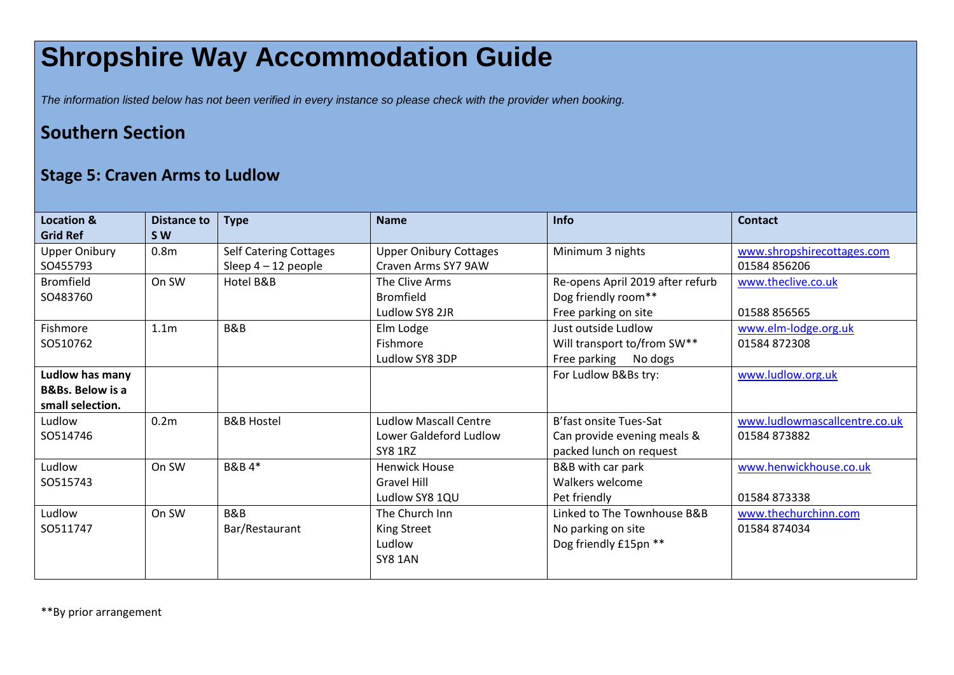## **Shropshire Way Accommodation Guide**

*The information listed below has not been verified in every instance so please check with the provider when booking.*

## **Southern Section**

## **Stage 5: Craven Arms to Ludlow**

| <b>Location &amp;</b><br><b>Grid Ref</b> | Distance to<br><b>SW</b> | <b>Type</b>                   | <b>Name</b>                   | Info                             | <b>Contact</b>                |
|------------------------------------------|--------------------------|-------------------------------|-------------------------------|----------------------------------|-------------------------------|
| <b>Upper Onibury</b>                     | 0.8 <sub>m</sub>         | <b>Self Catering Cottages</b> | <b>Upper Onibury Cottages</b> | Minimum 3 nights                 | www.shropshirecottages.com    |
| SO455793                                 |                          | Sleep $4-12$ people           | Craven Arms SY7 9AW           |                                  | 01584 856206                  |
| <b>Bromfield</b>                         | On SW                    | Hotel B&B                     | The Clive Arms                | Re-opens April 2019 after refurb | www.theclive.co.uk            |
| SO483760                                 |                          |                               | Bromfield                     | Dog friendly room**              |                               |
|                                          |                          |                               | Ludlow SY8 2JR                | Free parking on site             | 01588 856565                  |
| Fishmore                                 | 1.1 <sub>m</sub>         | B&B                           | Elm Lodge                     | Just outside Ludlow              | www.elm-lodge.org.uk          |
| SO510762                                 |                          |                               | Fishmore                      | Will transport to/from SW**      | 01584 872308                  |
|                                          |                          |                               | Ludlow SY8 3DP                | Free parking No dogs             |                               |
| Ludlow has many                          |                          |                               |                               | For Ludlow B&Bs try:             | www.ludlow.org.uk             |
| <b>B&amp;Bs. Below is a</b>              |                          |                               |                               |                                  |                               |
| small selection.                         |                          |                               |                               |                                  |                               |
| Ludlow                                   | 0.2 <sub>m</sub>         | <b>B&amp;B Hostel</b>         | <b>Ludlow Mascall Centre</b>  | B'fast onsite Tues-Sat           | www.ludlowmascallcentre.co.uk |
| SO514746                                 |                          |                               | Lower Galdeford Ludlow        | Can provide evening meals &      | 01584873882                   |
|                                          |                          |                               | <b>SY8 1RZ</b>                | packed lunch on request          |                               |
| Ludlow                                   | On SW                    | <b>B&amp;B4*</b>              | <b>Henwick House</b>          | B&B with car park                | www.henwickhouse.co.uk        |
| SO515743                                 |                          |                               | <b>Gravel Hill</b>            | Walkers welcome                  |                               |
|                                          |                          |                               | Ludlow SY8 1QU                | Pet friendly                     | 01584873338                   |
| Ludlow                                   | On SW                    | B&B                           | The Church Inn                | Linked to The Townhouse B&B      | www.thechurchinn.com          |
| SO511747                                 |                          | Bar/Restaurant                | <b>King Street</b>            | No parking on site               | 01584 874034                  |
|                                          |                          |                               | Ludlow                        | Dog friendly £15pn **            |                               |
|                                          |                          |                               | <b>SY8 1AN</b>                |                                  |                               |
|                                          |                          |                               |                               |                                  |                               |

\*\*By prior arrangement